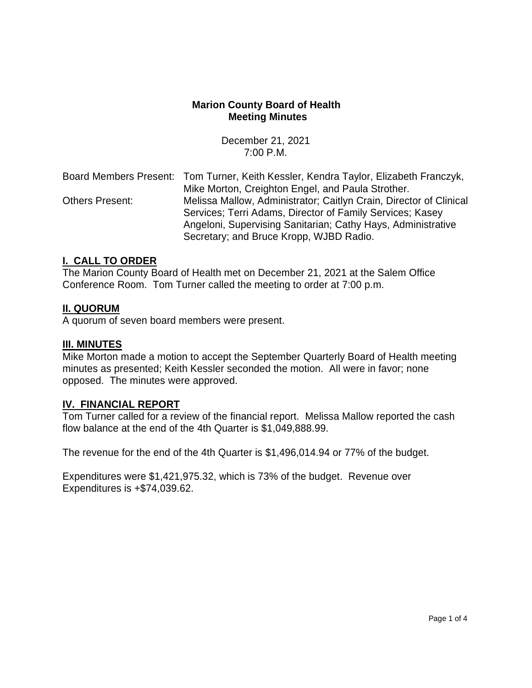### **Marion County Board of Health Meeting Minutes**

December 21, 2021 7:00 P.M.

Board Members Present: Tom Turner, Keith Kessler, Kendra Taylor, Elizabeth Franczyk, Mike Morton, Creighton Engel, and Paula Strother. Others Present: Melissa Mallow, Administrator; Caitlyn Crain, Director of Clinical Services; Terri Adams, Director of Family Services; Kasey Angeloni, Supervising Sanitarian; Cathy Hays, Administrative Secretary; and Bruce Kropp, WJBD Radio.

### **I. CALL TO ORDER**

The Marion County Board of Health met on December 21, 2021 at the Salem Office Conference Room. Tom Turner called the meeting to order at 7:00 p.m.

### **II. QUORUM**

A quorum of seven board members were present.

#### **III. MINUTES**

Mike Morton made a motion to accept the September Quarterly Board of Health meeting minutes as presented; Keith Kessler seconded the motion. All were in favor; none opposed. The minutes were approved.

### **IV. FINANCIAL REPORT**

Tom Turner called for a review of the financial report. Melissa Mallow reported the cash flow balance at the end of the 4th Quarter is \$1,049,888.99.

The revenue for the end of the 4th Quarter is \$1,496,014.94 or 77% of the budget.

Expenditures were \$1,421,975.32, which is 73% of the budget. Revenue over Expenditures is +\$74,039.62.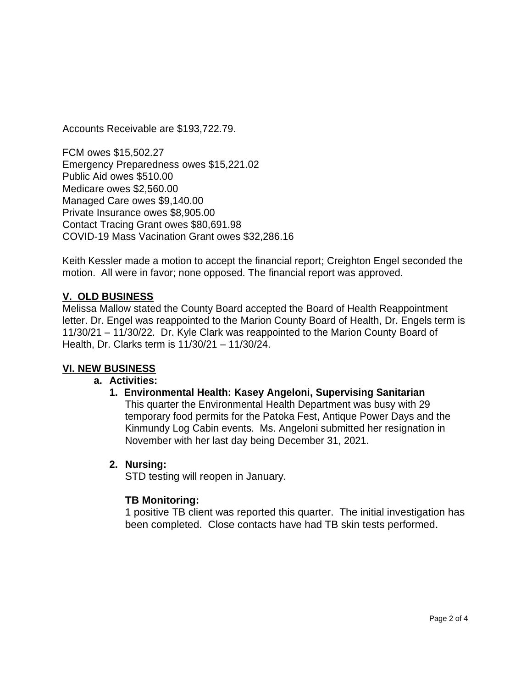Accounts Receivable are \$193,722.79.

FCM owes \$15,502.27 Emergency Preparedness owes \$15,221.02 Public Aid owes \$510.00 Medicare owes \$2,560.00 Managed Care owes \$9,140.00 Private Insurance owes \$8,905.00 Contact Tracing Grant owes \$80,691.98 COVID-19 Mass Vacination Grant owes \$32,286.16

Keith Kessler made a motion to accept the financial report; Creighton Engel seconded the motion. All were in favor; none opposed. The financial report was approved.

# **V. OLD BUSINESS**

Melissa Mallow stated the County Board accepted the Board of Health Reappointment letter. Dr. Engel was reappointed to the Marion County Board of Health, Dr. Engels term is 11/30/21 – 11/30/22. Dr. Kyle Clark was reappointed to the Marion County Board of Health, Dr. Clarks term is 11/30/21 – 11/30/24.

# **VI. NEW BUSINESS**

# **a. Activities:**

**1. Environmental Health: Kasey Angeloni, Supervising Sanitarian** This quarter the Environmental Health Department was busy with 29 temporary food permits for the Patoka Fest, Antique Power Days and the Kinmundy Log Cabin events. Ms. Angeloni submitted her resignation in November with her last day being December 31, 2021.

# **2. Nursing:**

STD testing will reopen in January.

# **TB Monitoring:**

1 positive TB client was reported this quarter. The initial investigation has been completed. Close contacts have had TB skin tests performed.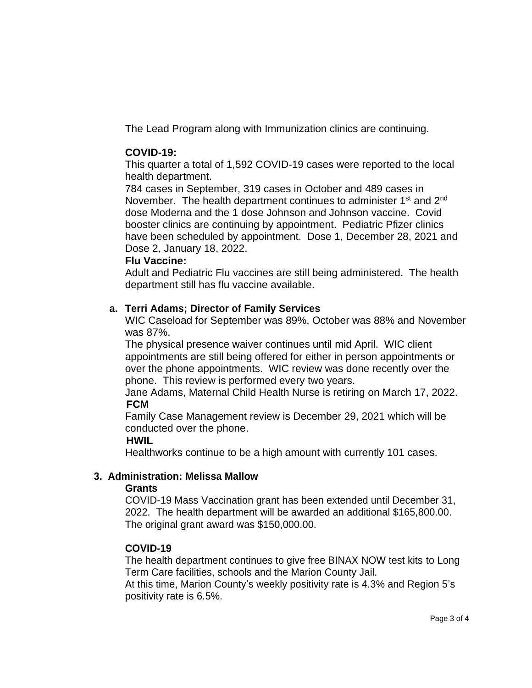The Lead Program along with Immunization clinics are continuing.

### **COVID-19:**

This quarter a total of 1,592 COVID-19 cases were reported to the local health department.

784 cases in September, 319 cases in October and 489 cases in November. The health department continues to administer 1<sup>st</sup> and 2<sup>nd</sup> dose Moderna and the 1 dose Johnson and Johnson vaccine. Covid booster clinics are continuing by appointment. Pediatric Pfizer clinics have been scheduled by appointment. Dose 1, December 28, 2021 and Dose 2, January 18, 2022.

#### **Flu Vaccine:**

Adult and Pediatric Flu vaccines are still being administered. The health department still has flu vaccine available.

### **a. Terri Adams; Director of Family Services**

WIC Caseload for September was 89%, October was 88% and November was 87%.

The physical presence waiver continues until mid April. WIC client appointments are still being offered for either in person appointments or over the phone appointments. WIC review was done recently over the phone. This review is performed every two years.

Jane Adams, Maternal Child Health Nurse is retiring on March 17, 2022. **FCM**

Family Case Management review is December 29, 2021 which will be conducted over the phone.

### **HWIL**

Healthworks continue to be a high amount with currently 101 cases.

### **3. Administration: Melissa Mallow**

### **Grants**

COVID-19 Mass Vaccination grant has been extended until December 31, 2022. The health department will be awarded an additional \$165,800.00. The original grant award was \$150,000.00.

### **COVID-19**

The health department continues to give free BINAX NOW test kits to Long Term Care facilities, schools and the Marion County Jail.

At this time, Marion County's weekly positivity rate is 4.3% and Region 5's positivity rate is 6.5%.